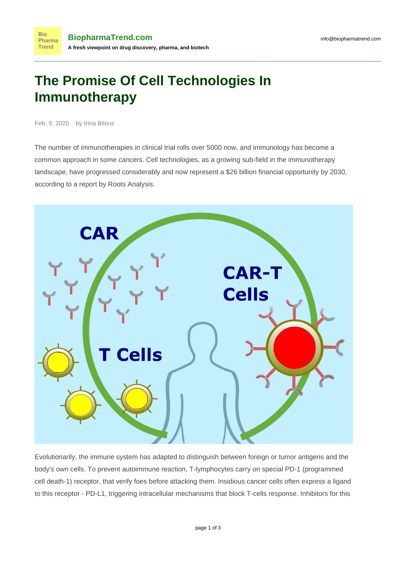## **The Promise Of Cell Technologies In Immunotherapy**

Feb. 9, 2020 by Irina Bilous

The number of immunotherapies in clinical trial [rolls over 5000 now](https://drug-hunter.com/2019/09/29/global-io-pipeline/), and immunology has become a common approach in some cancers. Cell technologies, as a growing sub-field in the immunotherapy landscape, have progressed considerably and now represent a \$26 billion financial opportunity by 2030, according to a [report by Roots Analysis.](https://www.rootsanalysis.com/reports/view_document/t-cell-immunotherapies-market-4th-edition-2019-2030/261.html)



Evolutionarily, the immune system has adapted to distinguish between foreign or tumor antigens and the body's own cells. To prevent autoimmune reaction, T-lymphocytes carry on special PD-1 (programmed cell death-1) receptor, that verify foes before attacking them. Insidious cancer cells often express a ligand to this receptor - PD-L1, triggering intracellular mechanisms that block T-cells response. Inhibitors for this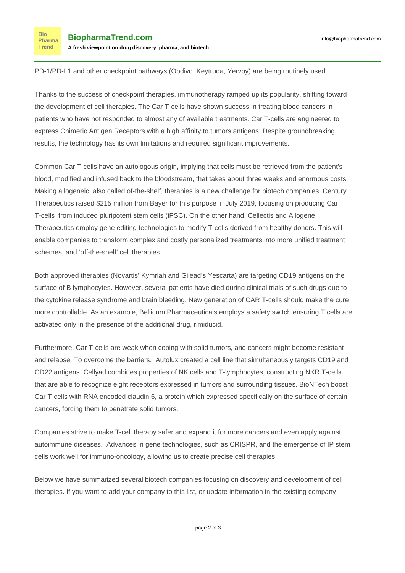PD-1/PD-L1 and other [checkpoint pathways](https://www.abcam.com/cancer/cancer-immunotherapy-and-the-pd1pdl1-pathway) (Opdivo, Keytruda, Yervoy) are being routinely used.

Thanks to the success of checkpoint therapies, immunotherapy ramped up its popularity, [shifting toward](https://drug-hunter.com/2019/09/29/global-io-pipeline/?_lrsc=0574bf7a-d937-4748-8cbb-5c09f7e4fb84&utm_source=linkedin&utm_medium=elevate) [the development of cell therapies.](https://drug-hunter.com/2019/09/29/global-io-pipeline/?_lrsc=0574bf7a-d937-4748-8cbb-5c09f7e4fb84&utm_source=linkedin&utm_medium=elevate) The Car T-cells have shown success in treating blood cancers in patients who have not responded to almost any of available treatments. Car T-cells are engineered to express Chimeric Antigen Receptors with a high affinity to tumors antigens. Despite groundbreaking results, the technology has its own limitations and required significant improvements.

Common Car T-cells have an autologous origin, implying that cells must be retrieved from the patient's blood, modified and infused back to the bloodstream, that takes about three weeks and enormous costs. Making allogeneic, also called of-the-shelf, therapies is a new challenge for biotech companies. [Century](https://www.healio.com/hematology-oncology/cell-therapy/news/online/%7B64a2a779-7906-47c2-bdc7-b82ce742b67a%7D/bayer-among-financial-backers-of-startup-century-therapeutics-cell-based-immunotherapy-platform) [Therapeutics raised \\$215 million from Bayer](https://www.healio.com/hematology-oncology/cell-therapy/news/online/%7B64a2a779-7906-47c2-bdc7-b82ce742b67a%7D/bayer-among-financial-backers-of-startup-century-therapeutics-cell-based-immunotherapy-platform) for this purpose in July 2019, focusing on producing Car T-cells from induced pluripotent stem cells (iPSC). On the other hand, Cellectis and Allogene Therapeutics employ gene editing technologies to modify T-cells derived from healthy donors. This will enable companies to transform complex and costly personalized treatments into more unified treatment schemes, and 'off-the-shelf' cell therapies.

Both approved therapies (Novartis' Kymriah and Gilead's Yescarta) are targeting CD19 antigens on the surface of B lymphocytes. However, several patients have died during clinical trials of such drugs due to the cytokine release syndrome and brain bleeding. New generation of CAR T-cells should make the cure more controllable. As an example, Bellicum Pharmaceuticals employs a safety switch ensuring T cells are activated only in the presence of the additional drug, rimiducid.

Furthermore, Car T-cells are weak when coping with solid tumors, and cancers might become resistant and relapse. To overcome the barriers, Autolux created a cell line tha[t simultaneously targets CD19 and](https://www.labiotech.eu/medical/autolus-clinical-data-car-t-therapy/) [CD22 antigens](https://www.labiotech.eu/medical/autolus-clinical-data-car-t-therapy/). Cellyad combines properties of NK cells and T-lymphocytes, constructing NKR T-cells that are able to recognize eight receptors expressed in tumors and surrounding tissues. [BioNTech boost](https://www.labiotech.eu/car-t/biontech-car-t-rna-cancer/) [Car T-cells with RNA](https://www.labiotech.eu/car-t/biontech-car-t-rna-cancer/) encoded claudin 6, a protein which expressed specifically on the surface of certain cancers, forcing them to penetrate solid tumors.

Companies strive to make [T-cell therapy safer](https://cen.acs.org/pharmaceuticals/oncology/Controlling-CAR-T-scientists-plan/96/i19) and expand it for more cancers and even apply against [autoimmune diseases](https://www.fiercebiotech.com/research/caar-t-cells-as-bait-shows-promise-autoimmune-disease). Advances in gene technologies, such as CRISPR, and the emergence of IP stem cells work well for immuno-oncology, allowing us to create precise cell therapies.

Below we have summarized several biotech companies focusing on discovery and development of cell therapies. If you want to add your company to this list, or update information in the existing company